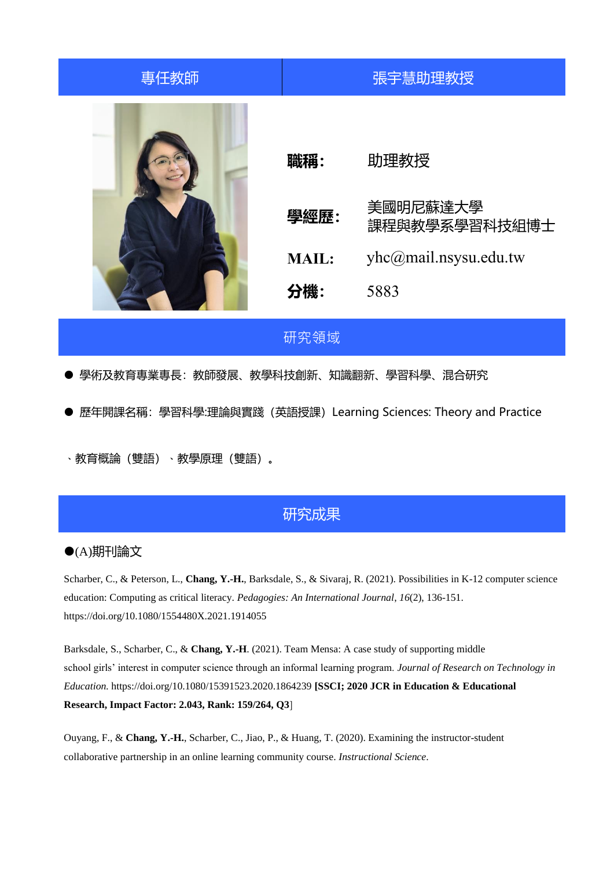| 專任教師 |                                    | 張宇慧助理教授                                                            |
|------|------------------------------------|--------------------------------------------------------------------|
|      | 職稱:<br>學經歷:<br><b>MAIL:</b><br>分機: | 助理教授<br>美國明尼蘇達大學<br>課程與教學系學習科技組博士<br>yhc@mail.nsysu.edu.tw<br>5883 |

# 研究領域

● 學術及教育專業專長: 教師發展、教學科技創新、知識翻新、學習科學、混合研究

● 歷年開課名稱: 學習科學:理論與實踐 (英語授課) Learning Sciences: Theory and Practice

、教育概論(雙語)、教學原理(雙語)。

# 研究成果

### (A)期刊論文

Scharber, C., & Peterson, L., **Chang, Y.-H.**, Barksdale, S., & Sivaraj, R. (2021). Possibilities in K-12 computer science education: Computing as critical literacy. *Pedagogies: An International Journal*, *16*(2), 136-151. https://doi.org/10.1080/1554480X.2021.1914055

Barksdale, S., Scharber, C., & **Chang, Y.-H**. (2021). Team Mensa: A case study of supporting middle school girls' interest in computer science through an informal learning program. *Journal of Research on Technology in Education.* https://doi.org/10.1080/15391523.2020.1864239 **[SSCI; 2020 JCR in Education & Educational Research, Impact Factor: 2.043, Rank: 159/264, Q3**]

Ouyang, F., & **Chang, Y.-H.**, Scharber, C., Jiao, P., & Huang, T. (2020). Examining the instructor-student collaborative partnership in an online learning community course. *Instructional Science*.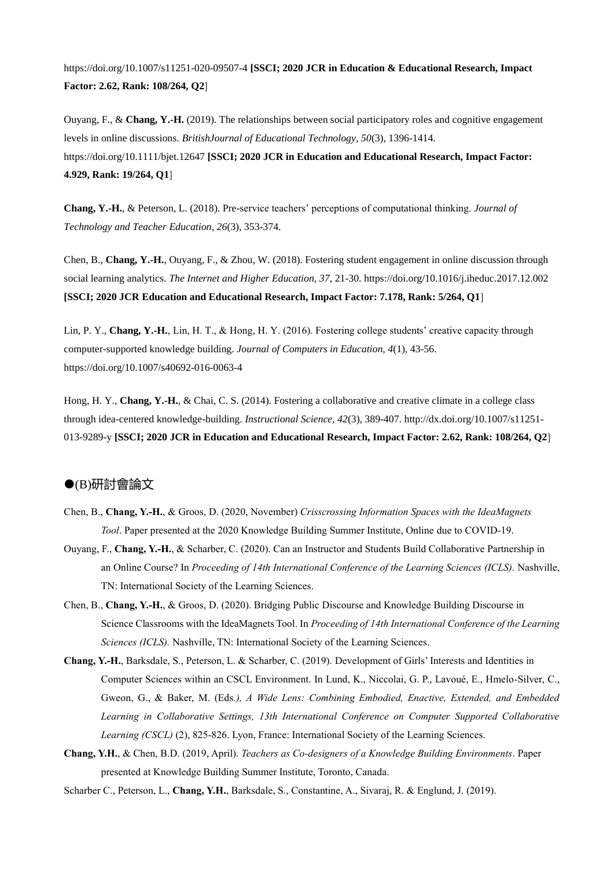https://doi.org/10.1007/s11251-020-09507-4 **[SSCI; 2020 JCR in Education & Educational Research, Impact Factor: 2.62, Rank: 108/264, Q2**]

Ouyang, F., & **Chang, Y.-H.** (2019). The relationships between social participatory roles and cognitive engagement levels in online discussions. *BritishJournal of Educational Technology, 50*(3), 1396-1414*.*  https://doi.org/10.1111/bjet.12647 **[SSCI; 2020 JCR in Education and Educational Research, Impact Factor: 4.929, Rank: 19/264, Q1**]

**Chang, Y.-H.**, & Peterson, L. (2018). Pre-service teachers' perceptions of computational thinking. *Journal of Technology and Teacher Education*, *26*(3), 353-374.

Chen, B., **Chang, Y.-H.**, Ouyang, F., & Zhou, W. (2018). Fostering student engagement in online discussion through social learning analytics. *The Internet and Higher Education, 37*, 21-30. https://doi.org/10.1016/j.iheduc.2017.12.002 **[SSCI; 2020 JCR Education and Educational Research, Impact Factor: 7.178, Rank: 5/264, Q1**]

Lin, P. Y., **Chang, Y.-H.**, Lin, H. T., & Hong, H. Y. (2016). Fostering college students' creative capacity through computer-supported knowledge building. *Journal of Computers in Education, 4*(1), 43-56. https://doi.org/10.1007/s40692-016-0063-4

Hong, H. Y., **Chang, Y.-H.**, & Chai, C. S. (2014). Fostering a collaborative and creative climate in a college class through idea-centered knowledge-building. *Instructional Science, 42*(3), 389-407. http://dx.doi.org/10.1007/s11251- 013-9289-y **[SSCI; 2020 JCR in Education and Educational Research, Impact Factor: 2.62, Rank: 108/264, Q2**]

#### (B)研討會論文

- Chen, B., **Chang, Y.-H.**, & Groos, D. (2020, November) *Crisscrossing Information Spaces with the IdeaMagnets Tool*. Paper presented at the 2020 Knowledge Building Summer Institute, Online due to COVID-19.
- Ouyang, F., **Chang, Y.-H.**, & Scharber, C. (2020). Can an Instructor and Students Build Collaborative Partnership in an Online Course? In *Proceeding of 14th International Conference of the Learning Sciences (ICLS).* Nashville, TN: International Society of the Learning Sciences.
- Chen, B., **Chang, Y.-H.**, & Groos, D. (2020). Bridging Public Discourse and Knowledge Building Discourse in Science Classrooms with the IdeaMagnets Tool. In *Proceeding of 14th International Conference of the Learning Sciences (ICLS).* Nashville, TN: International Society of the Learning Sciences.
- **Chang, Y.-H.**, Barksdale, S., Peterson, L. & Scharber, C. (2019). Development of Girls' Interests and Identities in Computer Sciences within an CSCL Environment. In Lund, K., Niccolai, G. P., Lavoué, E., Hmelo-Silver, C., Gweon, G., & Baker, M. (Eds*.), A Wide Lens: Combining Embodied, Enactive, Extended, and Embedded*  Learning in Collaborative Settings, 13th International Conference on Computer Supported Collaborative *Learning (CSCL)* (2), 825-826. Lyon, France: International Society of the Learning Sciences.
- **Chang, Y.H.**, & Chen, B.D. (2019, April). *Teachers as Co-designers of a Knowledge Building Environments*. Paper presented at Knowledge Building Summer Institute, Toronto, Canada.

Scharber C., Peterson, L., **Chang, Y.H.**, Barksdale, S., Constantine, A., Sivaraj, R. & Englund, J. (2019).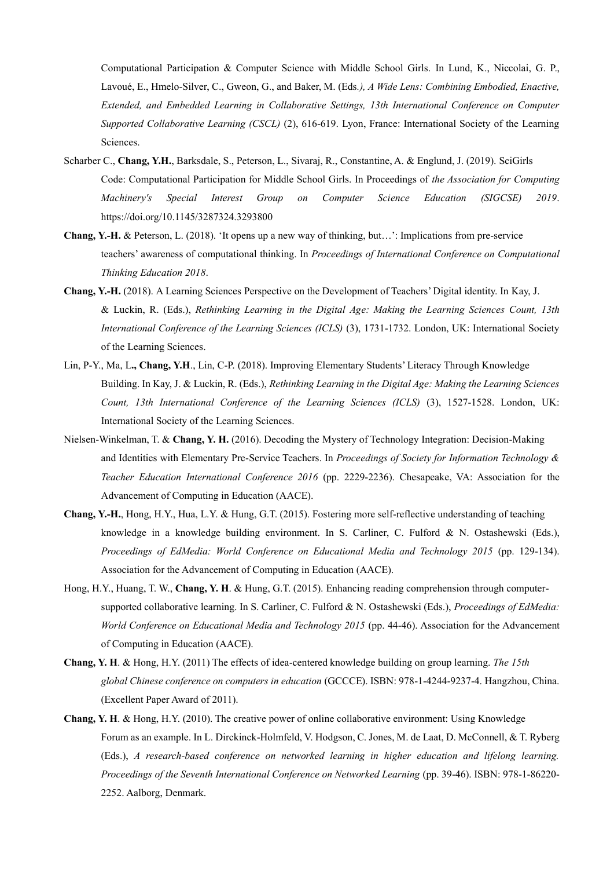Computational Participation & Computer Science with Middle School Girls. In Lund, K., Niccolai, G. P., Lavoué, E., Hmelo-Silver, C., Gweon, G., and Baker, M. (Eds*.), A Wide Lens: Combining Embodied, Enactive, Extended, and Embedded Learning in Collaborative Settings, 13th International Conference on Computer Supported Collaborative Learning (CSCL)* (2), 616-619. Lyon, France: International Society of the Learning Sciences.

- Scharber C., **Chang, Y.H.**, Barksdale, S., Peterson, L., Sivaraj, R., Constantine, A. & Englund, J. (2019). SciGirls Code: Computational Participation for Middle School Girls. In Proceedings of *the Association for Computing Machinery's Special Interest Group on Computer Science Education (SIGCSE) 2019*. https://doi.org/10.1145/3287324.3293800
- **Chang, Y.-H.** & Peterson, L. (2018). 'It opens up a new way of thinking, but…': Implications from pre-service teachers' awareness of computational thinking. In *Proceedings of International Conference on Computational Thinking Education 2018*.
- **Chang, Y.-H.** (2018). A Learning Sciences Perspective on the Development of Teachers' Digital identity. In Kay, J. & Luckin, R. (Eds.), *Rethinking Learning in the Digital Age: Making the Learning Sciences Count, 13th International Conference of the Learning Sciences (ICLS)* (3), 1731-1732. London, UK: International Society of the Learning Sciences.
- Lin, P-Y., Ma, L**., Chang, Y.H**., Lin, C-P. (2018). Improving Elementary Students' Literacy Through Knowledge Building. In Kay, J. & Luckin, R. (Eds.), *Rethinking Learning in the Digital Age: Making the Learning Sciences Count, 13th International Conference of the Learning Sciences (ICLS)* (3), 1527-1528. London, UK: International Society of the Learning Sciences.
- Nielsen-Winkelman, T. & **Chang, Y. H.** (2016). Decoding the Mystery of Technology Integration: Decision-Making and Identities with Elementary Pre-Service Teachers. In *Proceedings of Society for Information Technology & Teacher Education International Conference 2016* (pp. 2229-2236). Chesapeake, VA: Association for the Advancement of Computing in Education (AACE).
- **Chang, Y.-H.**, Hong, H.Y., Hua, L.Y. & Hung, G.T. (2015). Fostering more self-reflective understanding of teaching knowledge in a knowledge building environment. In S. Carliner, C. Fulford & N. Ostashewski (Eds.), *Proceedings of EdMedia: World Conference on Educational Media and Technology 2015* (pp. 129-134). Association for the Advancement of Computing in Education (AACE).
- Hong, H.Y., Huang, T. W., **Chang, Y. H**. & Hung, G.T. (2015). Enhancing reading comprehension through computersupported collaborative learning. In S. Carliner, C. Fulford & N. Ostashewski (Eds.), *Proceedings of EdMedia: World Conference on Educational Media and Technology 2015* (pp. 44-46). Association for the Advancement of Computing in Education (AACE).
- **Chang, Y. H**. & Hong, H.Y. (2011) The effects of idea-centered knowledge building on group learning. *The 15th global Chinese conference on computers in education* (GCCCE). ISBN: 978-1-4244-9237-4. Hangzhou, China. (Excellent Paper Award of 2011).
- **Chang, Y. H**. & Hong, H.Y. (2010). The creative power of online collaborative environment: Using Knowledge Forum as an example. In L. Dirckinck-Holmfeld, V. Hodgson, C. Jones, M. de Laat, D. McConnell, & T. Ryberg (Eds.), *A research-based conference on networked learning in higher education and lifelong learning. Proceedings of the Seventh International Conference on Networked Learning* (pp. 39-46). ISBN: 978-1-86220- 2252. Aalborg, Denmark.